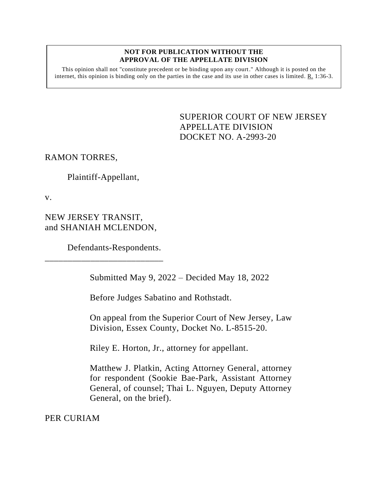## **NOT FOR PUBLICATION WITHOUT THE APPROVAL OF THE APPELLATE DIVISION**

This opinion shall not "constitute precedent or be binding upon any court." Although it is posted on the internet, this opinion is binding only on the parties in the case and its use in other cases is limited.  $R_1$  1:36-3.

> SUPERIOR COURT OF NEW JERSEY APPELLATE DIVISION DOCKET NO. A-2993-20

RAMON TORRES,

Plaintiff-Appellant,

v.

NEW JERSEY TRANSIT, and SHANIAH MCLENDON,

\_\_\_\_\_\_\_\_\_\_\_\_\_\_\_\_\_\_\_\_\_\_\_\_\_\_

Defendants-Respondents.

Submitted May 9, 2022 – Decided May 18, 2022

Before Judges Sabatino and Rothstadt.

On appeal from the Superior Court of New Jersey, Law Division, Essex County, Docket No. L-8515-20.

Riley E. Horton, Jr., attorney for appellant.

Matthew J. Platkin, Acting Attorney General, attorney for respondent (Sookie Bae-Park, Assistant Attorney General, of counsel; Thai L. Nguyen, Deputy Attorney General, on the brief).

PER CURIAM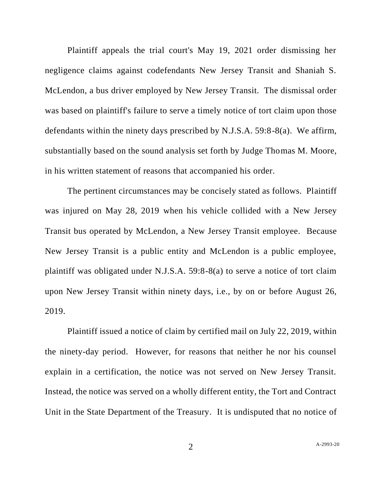Plaintiff appeals the trial court's May 19, 2021 order dismissing her negligence claims against codefendants New Jersey Transit and Shaniah S. McLendon, a bus driver employed by New Jersey Transit. The dismissal order was based on plaintiff's failure to serve a timely notice of tort claim upon those defendants within the ninety days prescribed by N.J.S.A. 59:8-8(a). We affirm, substantially based on the sound analysis set forth by Judge Thomas M. Moore, in his written statement of reasons that accompanied his order.

The pertinent circumstances may be concisely stated as follows. Plaintiff was injured on May 28, 2019 when his vehicle collided with a New Jersey Transit bus operated by McLendon, a New Jersey Transit employee. Because New Jersey Transit is a public entity and McLendon is a public employee, plaintiff was obligated under N.J.S.A. 59:8-8(a) to serve a notice of tort claim upon New Jersey Transit within ninety days, i.e., by on or before August 26, 2019.

Plaintiff issued a notice of claim by certified mail on July 22, 2019, within the ninety-day period. However, for reasons that neither he nor his counsel explain in a certification, the notice was not served on New Jersey Transit. Instead, the notice was served on a wholly different entity, the Tort and Contract Unit in the State Department of the Treasury. It is undisputed that no notice of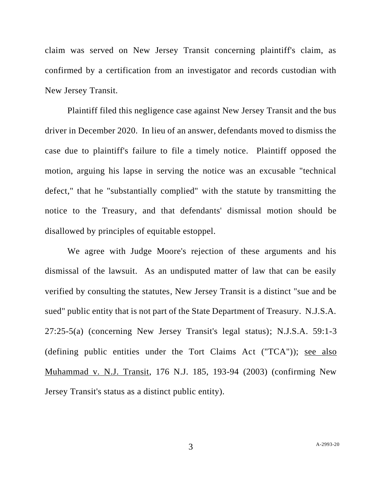claim was served on New Jersey Transit concerning plaintiff's claim, as confirmed by a certification from an investigator and records custodian with New Jersey Transit.

Plaintiff filed this negligence case against New Jersey Transit and the bus driver in December 2020. In lieu of an answer, defendants moved to dismiss the case due to plaintiff's failure to file a timely notice. Plaintiff opposed the motion, arguing his lapse in serving the notice was an excusable "technical defect," that he "substantially complied" with the statute by transmitting the notice to the Treasury, and that defendants' dismissal motion should be disallowed by principles of equitable estoppel.

We agree with Judge Moore's rejection of these arguments and his dismissal of the lawsuit. As an undisputed matter of law that can be easily verified by consulting the statutes, New Jersey Transit is a distinct "sue and be sued" public entity that is not part of the State Department of Treasury. N.J.S.A. 27:25-5(a) (concerning New Jersey Transit's legal status); N.J.S.A. 59:1-3 (defining public entities under the Tort Claims Act ("TCA")); see also Muhammad v. N.J. Transit, 176 N.J. 185, 193-94 (2003) (confirming New Jersey Transit's status as a distinct public entity).

3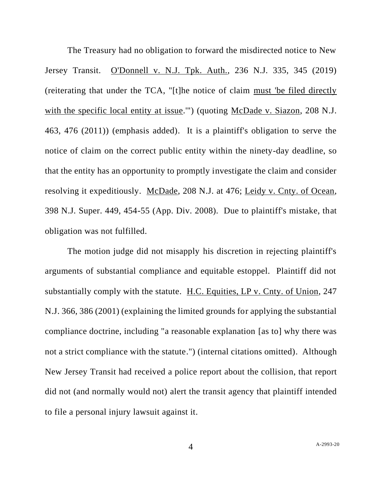The Treasury had no obligation to forward the misdirected notice to New Jersey Transit. O'Donnell v. N.J. Tpk. Auth., 236 N.J. 335, 345 (2019) (reiterating that under the TCA, "[t]he notice of claim must 'be filed directly with the specific local entity at issue."") (quoting McDade v. Siazon, 208 N.J. 463, 476 (2011)) (emphasis added). It is a plaintiff's obligation to serve the notice of claim on the correct public entity within the ninety-day deadline, so that the entity has an opportunity to promptly investigate the claim and consider resolving it expeditiously. McDade, 208 N.J. at 476; Leidy v. Cnty. of Ocean, 398 N.J. Super. 449, 454-55 (App. Div. 2008). Due to plaintiff's mistake, that obligation was not fulfilled.

The motion judge did not misapply his discretion in rejecting plaintiff's arguments of substantial compliance and equitable estoppel. Plaintiff did not substantially comply with the statute. H.C. Equities, LP v. Cnty. of Union, 247 N.J. 366, 386 (2001) (explaining the limited grounds for applying the substantial compliance doctrine, including "a reasonable explanation [as to] why there was not a strict compliance with the statute.") (internal citations omitted). Although New Jersey Transit had received a police report about the collision, that report did not (and normally would not) alert the transit agency that plaintiff intended to file a personal injury lawsuit against it.